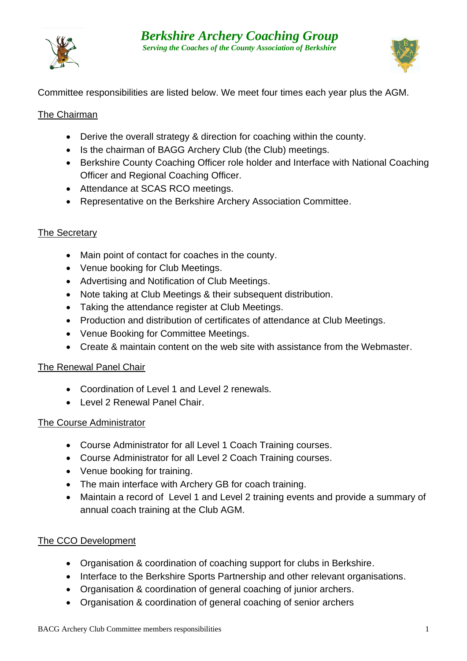



Committee responsibilities are listed below. We meet four times each year plus the AGM.

### The Chairman

- Derive the overall strategy & direction for coaching within the county.
- Is the chairman of BAGG Archery Club (the Club) meetings.
- Berkshire County Coaching Officer role holder and Interface with National Coaching Officer and Regional Coaching Officer.
- Attendance at SCAS RCO meetings.
- Representative on the Berkshire Archery Association Committee.

### The Secretary

- Main point of contact for coaches in the county.
- Venue booking for Club Meetings.
- Advertising and Notification of Club Meetings.
- Note taking at Club Meetings & their subsequent distribution.
- Taking the attendance register at Club Meetings.
- Production and distribution of certificates of attendance at Club Meetings.
- Venue Booking for Committee Meetings.
- Create & maintain content on the web site with assistance from the Webmaster.

#### The Renewal Panel Chair

- Coordination of Level 1 and Level 2 renewals.
- Level 2 Renewal Panel Chair.

#### The Course Administrator

- Course Administrator for all Level 1 Coach Training courses.
- Course Administrator for all Level 2 Coach Training courses.
- Venue booking for training.
- The main interface with Archery GB for coach training.
- Maintain a record of Level 1 and Level 2 training events and provide a summary of annual coach training at the Club AGM.

#### The CCO Development

- Organisation & coordination of coaching support for clubs in Berkshire.
- Interface to the Berkshire Sports Partnership and other relevant organisations.
- Organisation & coordination of general coaching of junior archers.
- Organisation & coordination of general coaching of senior archers